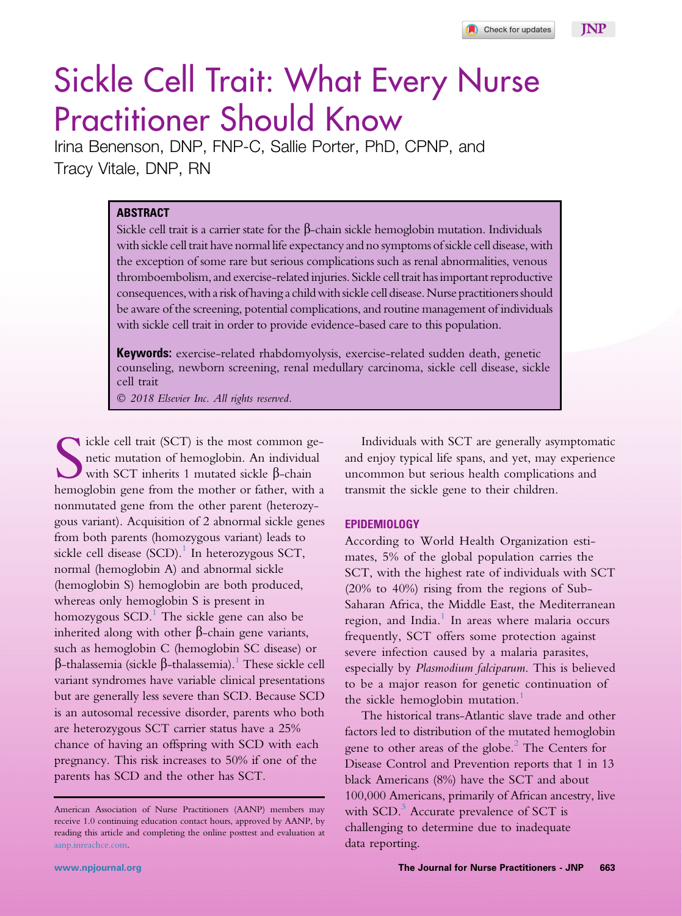

# Sickle Cell Trait: What Every Nurse Practitioner Should Know

Irina Benenson, DNP, FNP-C, Sallie Porter, PhD, CPNP, and Tracy Vitale, DNP, RN

# **ABSTRACT**

Sickle cell trait is a carrier state for the  $\beta$ -chain sickle hemoglobin mutation. Individuals with sickle cell trait have normal life expectancy and no symptoms of sickle cell disease, with the exception of some rare but serious complications such as renal abnormalities, venous thromboembolism, and exercise-related injuries. Sickle celltrait has important reproductive consequences, with a risk of having a child withsickle cell disease. Nurse practitionersshould be aware of the screening, potential complications, and routine management of individuals with sickle cell trait in order to provide evidence-based care to this population.

**Keywords:** exercise-related rhabdomyolysis, exercise-related sudden death, genetic counseling, newborn screening, renal medullary carcinoma, sickle cell disease, sickle cell trait

2018 Elsevier Inc. All rights reserved.

Sickle cell trait (SCT) is the most common genetic mutation of hemoglobin. An individual with SCT inherits 1 mutated sickle  $\beta$ -chain hemoglobin gene from the mother or father, with a ickle cell trait (SCT) is the most common genetic mutation of hemoglobin. An individual with SCT inherits 1 mutated sickle  $\beta$ -chain nonmutated gene from the other parent (heterozygous variant). Acquisition of 2 abnormal sickle genes from both parents (homozygous variant) leads to sickle cell disease (SCD).<sup>[1](#page-6-0)</sup> In heterozygous SCT, normal (hemoglobin A) and abnormal sickle (hemoglobin S) hemoglobin are both produced, whereas only hemoglobin S is present in homozygous  $SCD$ .<sup>[1](#page-6-0)</sup> The sickle gene can also be inherited along with other  $\beta$ -chain gene variants, such as hemoglobin C (hemoglobin SC disease) or  $\beta$ -thalassemia (sickle  $\beta$ -thalassemia).<sup>[1](#page-6-0)</sup> These sickle cell variant syndromes have variable clinical presentations but are generally less severe than SCD. Because SCD is an autosomal recessive disorder, parents who both are heterozygous SCT carrier status have a 25% chance of having an offspring with SCD with each pregnancy. This risk increases to 50% if one of the parents has SCD and the other has SCT.

Individuals with SCT are generally asymptomatic and enjoy typical life spans, and yet, may experience uncommon but serious health complications and transmit the sickle gene to their children.

# **EPIDEMIOLOGY**

According to World Health Organization estimates, 5% of the global population carries the SCT, with the highest rate of individuals with SCT (20% to 40%) rising from the regions of Sub-Saharan Africa, the Middle East, the Mediterranean region, and India. $<sup>1</sup>$  $<sup>1</sup>$  $<sup>1</sup>$  In areas where malaria occurs</sup> frequently, SCT offers some protection against severe infection caused by a malaria parasites, especially by Plasmodium falciparum. This is believed to be a major reason for genetic continuation of the sickle hemoglobin mutation.<sup>[1](#page-6-0)</sup>

The historical trans-Atlantic slave trade and other factors led to distribution of the mutated hemoglobin gene to other areas of the globe.<sup>2</sup> The Centers for Disease Control and Prevention reports that 1 in 13 black Americans (8%) have the SCT and about 100,000 Americans, primarily of African ancestry, live with SCD. $3$  Accurate prevalence of SCT is challenging to determine due to inadequate data reporting.

American Association of Nurse Practitioners (AANP) members may receive 1.0 continuing education contact hours, approved by AANP, by reading this article and completing the online posttest and evaluation at [aanp.inreachce.com](http://aanp.inreachce.com).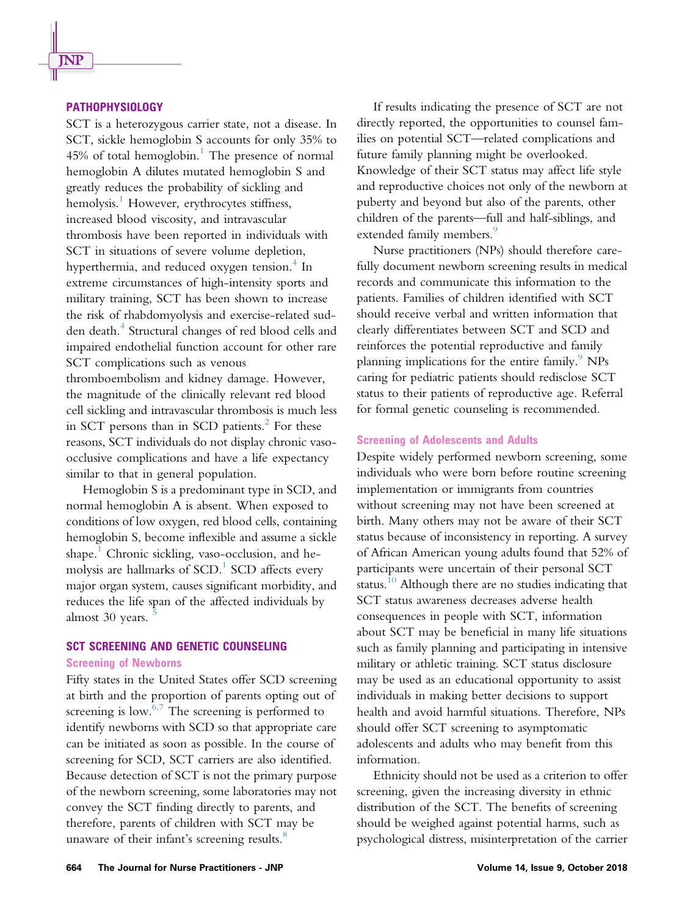# PATHOPHYSIOLOGY

SCT is a heterozygous carrier state, not a disease. In SCT, sickle hemoglobin S accounts for only 35% to  $45\%$  of total hemoglobin.<sup>[1](#page-6-0)</sup> The presence of normal hemoglobin A dilutes mutated hemoglobin S and greatly reduces the probability of sickling and hemolysis.<sup>1</sup> However, erythrocytes stiffness, increased blood viscosity, and intravascular thrombosis have been reported in individuals with SCT in situations of severe volume depletion, hyperthermia, and reduced oxygen tension.<sup>[4](#page-6-0)</sup> In extreme circumstances of high-intensity sports and military training, SCT has been shown to increase the risk of rhabdomyolysis and exercise-related sud-den death.<sup>[4](#page-6-0)</sup> Structural changes of red blood cells and impaired endothelial function account for other rare SCT complications such as venous thromboembolism and kidney damage. However, the magnitude of the clinically relevant red blood cell sickling and intravascular thrombosis is much less in SCT persons than in SCD patients. $^{2}$  $^{2}$  $^{2}$  For these reasons, SCT individuals do not display chronic vasoocclusive complications and have a life expectancy similar to that in general population.

Hemoglobin S is a predominant type in SCD, and normal hemoglobin A is absent. When exposed to conditions of low oxygen, red blood cells, containing hemoglobin S, become inflexible and assume a sickle shape.<sup>1</sup> Chronic sickling, vaso-occlusion, and hemolysis are hallmarks of  $SCD$ .<sup>[1](#page-6-0)</sup>  $SCD$  affects every major organ system, causes significant morbidity, and reduces the life span of the affected individuals by almost 30 years.

# SCT SCREENING AND GENETIC COUNSELING

#### Screening of Newborns

Fifty states in the United States offer SCD screening at birth and the proportion of parents opting out of screening is low. $6,7$  The screening is performed to identify newborns with SCD so that appropriate care can be initiated as soon as possible. In the course of screening for SCD, SCT carriers are also identified. Because detection of SCT is not the primary purpose of the newborn screening, some laboratories may not convey the SCT finding directly to parents, and therefore, parents of children with SCT may be unaware of their infant's screening results.<sup>[8](#page-6-0)</sup>

If results indicating the presence of SCT are not directly reported, the opportunities to counsel families on potential SCT—related complications and future family planning might be overlooked. Knowledge of their SCT status may affect life style and reproductive choices not only of the newborn at puberty and beyond but also of the parents, other children of the parents—full and half-siblings, and extended family members.<sup>[9](#page-6-0)</sup>

Nurse practitioners (NPs) should therefore carefully document newborn screening results in medical records and communicate this information to the patients. Families of children identified with SCT should receive verbal and written information that clearly differentiates between SCT and SCD and reinforces the potential reproductive and family planning implications for the entire family. $9$  NPs caring for pediatric patients should redisclose SCT status to their patients of reproductive age. Referral for formal genetic counseling is recommended.

#### Screening of Adolescents and Adults

Despite widely performed newborn screening, some individuals who were born before routine screening implementation or immigrants from countries without screening may not have been screened at birth. Many others may not be aware of their SCT status because of inconsistency in reporting. A survey of African American young adults found that 52% of participants were uncertain of their personal SCT status.<sup>10</sup> Although there are no studies indicating that SCT status awareness decreases adverse health consequences in people with SCT, information about SCT may be beneficial in many life situations such as family planning and participating in intensive military or athletic training. SCT status disclosure may be used as an educational opportunity to assist individuals in making better decisions to support health and avoid harmful situations. Therefore, NPs should offer SCT screening to asymptomatic adolescents and adults who may benefit from this information.

Ethnicity should not be used as a criterion to offer screening, given the increasing diversity in ethnic distribution of the SCT. The benefits of screening should be weighed against potential harms, such as psychological distress, misinterpretation of the carrier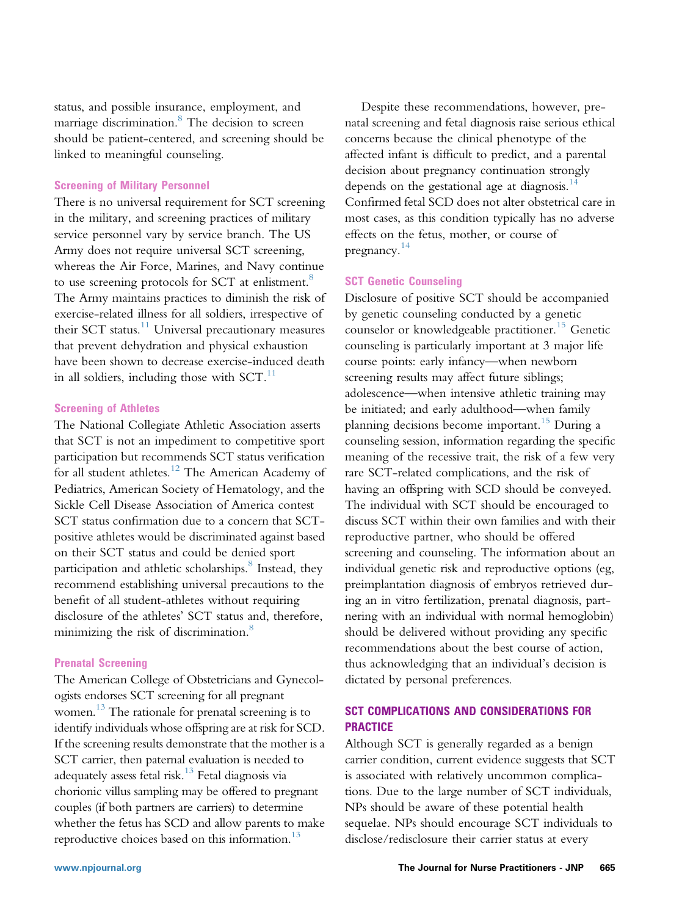status, and possible insurance, employment, and marriage discrimination.<sup>8</sup> The decision to screen should be patient-centered, and screening should be linked to meaningful counseling.

#### Screening of Military Personnel

There is no universal requirement for SCT screening in the military, and screening practices of military service personnel vary by service branch. The US Army does not require universal SCT screening, whereas the Air Force, Marines, and Navy continue to use screening protocols for SCT at enlistment.<sup>8</sup> The Army maintains practices to diminish the risk of exercise-related illness for all soldiers, irrespective of their SCT status. $11$  Universal precautionary measures that prevent dehydration and physical exhaustion have been shown to decrease exercise-induced death in all soldiers, including those with  $SCT$ .<sup>11</sup>

### Screening of Athletes

The National Collegiate Athletic Association asserts that SCT is not an impediment to competitive sport participation but recommends SCT status verification for all student athletes.<sup>[12](#page-6-0)</sup> The American Academy of Pediatrics, American Society of Hematology, and the Sickle Cell Disease Association of America contest SCT status confirmation due to a concern that SCTpositive athletes would be discriminated against based on their SCT status and could be denied sport participation and athletic scholarships.<sup>[8](#page-6-0)</sup> Instead, they recommend establishing universal precautions to the benefit of all student-athletes without requiring disclosure of the athletes' SCT status and, therefore, minimizing the risk of discrimination.<sup>8</sup>

#### Prenatal Screening

The American College of Obstetricians and Gynecologists endorses SCT screening for all pregnant women. [13](#page-6-0) The rationale for prenatal screening is to identify individuals whose offspring are at risk for SCD. If the screening results demonstrate that the mother is a SCT carrier, then paternal evaluation is needed to adequately assess fetal risk.<sup>[13](#page-6-0)</sup> Fetal diagnosis via chorionic villus sampling may be offered to pregnant couples (if both partners are carriers) to determine whether the fetus has SCD and allow parents to make reproductive choices based on this information. $^{13}$ 

Despite these recommendations, however, prenatal screening and fetal diagnosis raise serious ethical concerns because the clinical phenotype of the affected infant is difficult to predict, and a parental decision about pregnancy continuation strongly depends on the gestational age at diagnosis.<sup>[14](#page-6-0)</sup> Confirmed fetal SCD does not alter obstetrical care in most cases, as this condition typically has no adverse effects on the fetus, mother, or course of pregnancy. [14](#page-6-0)

#### SCT Genetic Counseling

Disclosure of positive SCT should be accompanied by genetic counseling conducted by a genetic counselor or knowledgeable practitioner.<sup>[15](#page-6-0)</sup> Genetic counseling is particularly important at 3 major life course points: early infancy—when newborn screening results may affect future siblings; adolescence—when intensive athletic training may be initiated; and early adulthood—when family planning decisions become important.<sup>[15](#page-6-0)</sup> During a counseling session, information regarding the specific meaning of the recessive trait, the risk of a few very rare SCT-related complications, and the risk of having an offspring with SCD should be conveyed. The individual with SCT should be encouraged to discuss SCT within their own families and with their reproductive partner, who should be offered screening and counseling. The information about an individual genetic risk and reproductive options (eg, preimplantation diagnosis of embryos retrieved during an in vitro fertilization, prenatal diagnosis, partnering with an individual with normal hemoglobin) should be delivered without providing any specific recommendations about the best course of action, thus acknowledging that an individual's decision is dictated by personal preferences.

# SCT COMPLICATIONS AND CONSIDERATIONS FOR PRACTICE

Although SCT is generally regarded as a benign carrier condition, current evidence suggests that SCT is associated with relatively uncommon complications. Due to the large number of SCT individuals, NPs should be aware of these potential health sequelae. NPs should encourage SCT individuals to disclose/redisclosure their carrier status at every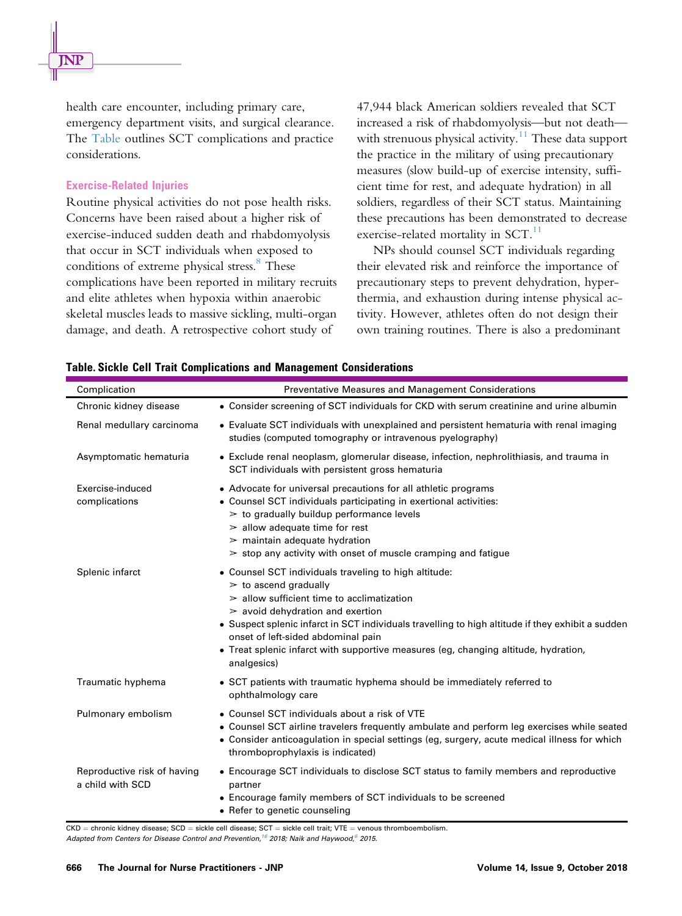health care encounter, including primary care, emergency department visits, and surgical clearance. The Table outlines SCT complications and practice considerations.

#### Exercise-Related Injuries

Routine physical activities do not pose health risks. Concerns have been raised about a higher risk of exercise-induced sudden death and rhabdomyolysis that occur in SCT individuals when exposed to conditions of extreme physical stress.<sup>8</sup> These complications have been reported in military recruits and elite athletes when hypoxia within anaerobic skeletal muscles leads to massive sickling, multi-organ damage, and death. A retrospective cohort study of

47,944 black American soldiers revealed that SCT increased a risk of rhabdomyolysis—but not death— with strenuous physical activity.<sup>[11](#page-6-0)</sup> These data support the practice in the military of using precautionary measures (slow build-up of exercise intensity, sufficient time for rest, and adequate hydration) in all soldiers, regardless of their SCT status. Maintaining these precautions has been demonstrated to decrease exercise-related mortality in  $SCT$ .<sup>[11](#page-6-0)</sup>

NPs should counsel SCT individuals regarding their elevated risk and reinforce the importance of precautionary steps to prevent dehydration, hyperthermia, and exhaustion during intense physical activity. However, athletes often do not design their own training routines. There is also a predominant

| Complication                                    | Preventative Measures and Management Considerations                                                                                                                                                                                                                                                                                                                                                                              |
|-------------------------------------------------|----------------------------------------------------------------------------------------------------------------------------------------------------------------------------------------------------------------------------------------------------------------------------------------------------------------------------------------------------------------------------------------------------------------------------------|
| Chronic kidney disease                          | • Consider screening of SCT individuals for CKD with serum creatinine and urine albumin                                                                                                                                                                                                                                                                                                                                          |
| Renal medullary carcinoma                       | • Evaluate SCT individuals with unexplained and persistent hematuria with renal imaging<br>studies (computed tomography or intravenous pyelography)                                                                                                                                                                                                                                                                              |
| Asymptomatic hematuria                          | • Exclude renal neoplasm, glomerular disease, infection, nephrolithiasis, and trauma in<br>SCT individuals with persistent gross hematuria                                                                                                                                                                                                                                                                                       |
| Exercise-induced<br>complications               | • Advocate for universal precautions for all athletic programs<br>• Counsel SCT individuals participating in exertional activities:<br>$\geq$ to gradually buildup performance levels<br>$\geq$ allow adequate time for rest<br>$\geq$ maintain adequate hydration<br>$\ge$ stop any activity with onset of muscle cramping and fatigue                                                                                          |
| Splenic infarct                                 | • Counsel SCT individuals traveling to high altitude:<br>$\geq$ to ascend gradually<br>$\geq$ allow sufficient time to acclimatization<br>$\geq$ avoid dehydration and exertion<br>• Suspect splenic infarct in SCT individuals travelling to high altitude if they exhibit a sudden<br>onset of left-sided abdominal pain<br>• Treat splenic infarct with supportive measures (eg, changing altitude, hydration,<br>analgesics) |
| Traumatic hyphema                               | • SCT patients with traumatic hyphema should be immediately referred to<br>ophthalmology care                                                                                                                                                                                                                                                                                                                                    |
| Pulmonary embolism                              | • Counsel SCT individuals about a risk of VTE<br>• Counsel SCT airline travelers frequently ambulate and perform leg exercises while seated<br>• Consider anticoagulation in special settings (eg, surgery, acute medical illness for which<br>thromboprophylaxis is indicated)                                                                                                                                                  |
| Reproductive risk of having<br>a child with SCD | • Encourage SCT individuals to disclose SCT status to family members and reproductive<br>partner<br>• Encourage family members of SCT individuals to be screened<br>• Refer to genetic counseling                                                                                                                                                                                                                                |

Table. Sickle Cell Trait Complications and Management Considerations

 $CKD =$  chronic kidney disease;  $SCD =$  sickle cell disease;  $SCT =$  sickle cell trait; VTE = venous thromboembolism.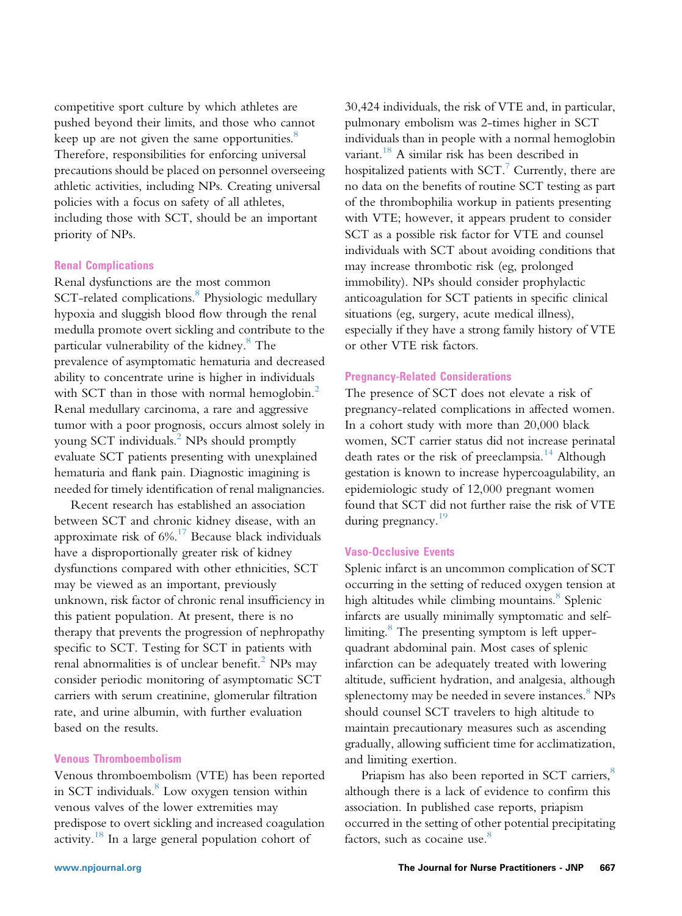competitive sport culture by which athletes are pushed beyond their limits, and those who cannot keep up are not given the same opportunities.<sup>[8](#page-6-0)</sup> Therefore, responsibilities for enforcing universal precautions should be placed on personnel overseeing athletic activities, including NPs. Creating universal policies with a focus on safety of all athletes, including those with SCT, should be an important priority of NPs.

#### Renal Complications

Renal dysfunctions are the most common SCT-related complications.<sup>[8](#page-6-0)</sup> Physiologic medullary hypoxia and sluggish blood flow through the renal medulla promote overt sickling and contribute to the particular vulnerability of the kidney.<sup>[8](#page-6-0)</sup> The prevalence of asymptomatic hematuria and decreased ability to concentrate urine is higher in individuals with SCT than in those with normal hemoglobin.<sup>[2](#page-6-0)</sup> Renal medullary carcinoma, a rare and aggressive tumor with a poor prognosis, occurs almost solely in young SCT individuals.<sup>2</sup> NPs should promptly evaluate SCT patients presenting with unexplained hematuria and flank pain. Diagnostic imagining is needed for timely identification of renal malignancies.

Recent research has established an association between SCT and chronic kidney disease, with an approximate risk of  $6\%$ .<sup>[17](#page-7-0)</sup> Because black individuals have a disproportionally greater risk of kidney dysfunctions compared with other ethnicities, SCT may be viewed as an important, previously unknown, risk factor of chronic renal insufficiency in this patient population. At present, there is no therapy that prevents the progression of nephropathy specific to SCT. Testing for SCT in patients with renal abnormalities is of unclear benefit.<sup>2</sup> NPs may consider periodic monitoring of asymptomatic SCT carriers with serum creatinine, glomerular filtration rate, and urine albumin, with further evaluation based on the results.

# Venous Thromboembolism

Venous thromboembolism (VTE) has been reported in SCT individuals. $8 \text{ Low oxygen tension within}$  $8 \text{ Low oxygen tension within}$ venous valves of the lower extremities may predispose to overt sickling and increased coagulation activity.<sup>[18](#page-7-0)</sup> In a large general population cohort of

30,424 individuals, the risk of VTE and, in particular, pulmonary embolism was 2-times higher in SCT individuals than in people with a normal hemoglobin variant.<sup>[18](#page-7-0)</sup> A similar risk has been described in hospitalized patients with  $SCT$ .<sup>[7](#page-6-0)</sup> Currently, there are no data on the benefits of routine SCT testing as part of the thrombophilia workup in patients presenting with VTE; however, it appears prudent to consider SCT as a possible risk factor for VTE and counsel individuals with SCT about avoiding conditions that may increase thrombotic risk (eg, prolonged immobility). NPs should consider prophylactic anticoagulation for SCT patients in specific clinical situations (eg, surgery, acute medical illness), especially if they have a strong family history of VTE or other VTE risk factors.

#### Pregnancy-Related Considerations

The presence of SCT does not elevate a risk of pregnancy-related complications in affected women. In a cohort study with more than 20,000 black women, SCT carrier status did not increase perinatal death rates or the risk of preeclampsia.<sup>[14](#page-6-0)</sup> Although gestation is known to increase hypercoagulability, an epidemiologic study of 12,000 pregnant women found that SCT did not further raise the risk of VTE during pregnancy.<sup>19</sup>

### Vaso-Occlusive Events

Splenic infarct is an uncommon complication of SCT occurring in the setting of reduced oxygen tension at high altitudes while climbing mountains.<sup>[8](#page-6-0)</sup> Splenic infarcts are usually minimally symptomatic and selflimiting. $\delta$  The presenting symptom is left upperquadrant abdominal pain. Most cases of splenic infarction can be adequately treated with lowering altitude, sufficient hydration, and analgesia, although splenectomy may be needed in severe instances.<sup>[8](#page-6-0)</sup> NPs should counsel SCT travelers to high altitude to maintain precautionary measures such as ascending gradually, allowing sufficient time for acclimatization, and limiting exertion.

Priapism has also been reported in SCT carriers,<sup>[8](#page-6-0)</sup> although there is a lack of evidence to confirm this association. In published case reports, priapism occurred in the setting of other potential precipitating factors, such as cocaine use.<sup>[8](#page-6-0)</sup>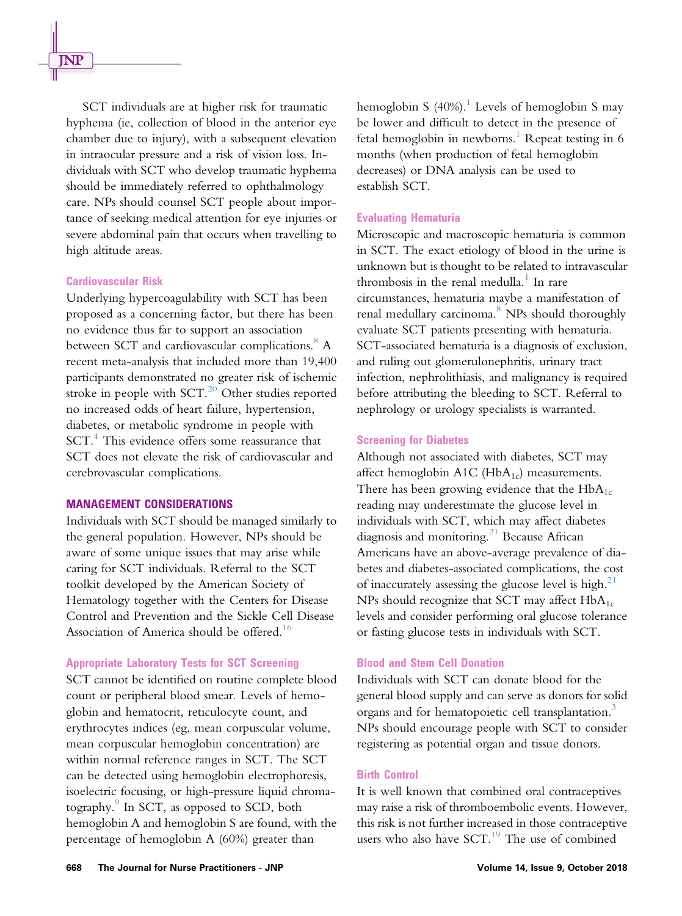SCT individuals are at higher risk for traumatic hyphema (ie, collection of blood in the anterior eye chamber due to injury), with a subsequent elevation in intraocular pressure and a risk of vision loss. Individuals with SCT who develop traumatic hyphema should be immediately referred to ophthalmology care. NPs should counsel SCT people about importance of seeking medical attention for eye injuries or severe abdominal pain that occurs when travelling to high altitude areas.

## Cardiovascular Risk

Underlying hypercoagulability with SCT has been proposed as a concerning factor, but there has been no evidence thus far to support an association between SCT and cardiovascular complications.<sup>[8](#page-6-0)</sup> A recent meta-analysis that included more than 19,400 participants demonstrated no greater risk of ischemic stroke in people with  $SCT<sup>20</sup>$  $SCT<sup>20</sup>$  $SCT<sup>20</sup>$  Other studies reported no increased odds of heart failure, hypertension, diabetes, or metabolic syndrome in people with SCT.<sup>4</sup> This evidence offers some reassurance that SCT does not elevate the risk of cardiovascular and cerebrovascular complications.

#### MANAGEMENT CONSIDERATIONS

Individuals with SCT should be managed similarly to the general population. However, NPs should be aware of some unique issues that may arise while caring for SCT individuals. Referral to the SCT toolkit developed by the American Society of Hematology together with the Centers for Disease Control and Prevention and the Sickle Cell Disease Association of America should be offered.<sup>[16](#page-6-0)</sup>

#### Appropriate Laboratory Tests for SCT Screening

SCT cannot be identified on routine complete blood count or peripheral blood smear. Levels of hemoglobin and hematocrit, reticulocyte count, and erythrocytes indices (eg, mean corpuscular volume, mean corpuscular hemoglobin concentration) are within normal reference ranges in SCT. The SCT can be detected using hemoglobin electrophoresis, isoelectric focusing, or high-pressure liquid chroma-tography.<sup>[9](#page-6-0)</sup> In SCT, as opposed to SCD, both hemoglobin A and hemoglobin S are found, with the percentage of hemoglobin A (60%) greater than

hemoglobin S (40%).<sup>1</sup> Levels of hemoglobin S may be lower and difficult to detect in the presence of fetal hemoglobin in newborns.<sup>[1](#page-6-0)</sup> Repeat testing in  $6$ months (when production of fetal hemoglobin decreases) or DNA analysis can be used to establish SCT.

#### Evaluating Hematuria

Microscopic and macroscopic hematuria is common in SCT. The exact etiology of blood in the urine is unknown but is thought to be related to intravascular thrombosis in the renal medulla.<sup>[1](#page-6-0)</sup> In rare circumstances, hematuria maybe a manifestation of renal medullary carcinoma.<sup>[8](#page-6-0)</sup> NPs should thoroughly evaluate SCT patients presenting with hematuria. SCT-associated hematuria is a diagnosis of exclusion, and ruling out glomerulonephritis, urinary tract infection, nephrolithiasis, and malignancy is required before attributing the bleeding to SCT. Referral to nephrology or urology specialists is warranted.

#### Screening for Diabetes

Although not associated with diabetes, SCT may affect hemoglobin  $A1C$  (Hb $A_{1c}$ ) measurements. There has been growing evidence that the  $HbA_{1c}$ reading may underestimate the glucose level in individuals with SCT, which may affect diabetes diagnosis and monitoring.<sup>[21](#page-7-0)</sup> Because African Americans have an above-average prevalence of diabetes and diabetes-associated complications, the cost of inaccurately assessing the glucose level is high. $^{21}$ NPs should recognize that SCT may affect  $HbA_{1c}$ levels and consider performing oral glucose tolerance or fasting glucose tests in individuals with SCT.

#### Blood and Stem Cell Donation

Individuals with SCT can donate blood for the general blood supply and can serve as donors for solid organs and for hematopoietic cell transplantation.<sup>[3](#page-6-0)</sup> NPs should encourage people with SCT to consider registering as potential organ and tissue donors.

#### Birth Control

It is well known that combined oral contraceptives may raise a risk of thromboembolic events. However, this risk is not further increased in those contraceptive users who also have  $SCT<sup>19</sup>$  $SCT<sup>19</sup>$  $SCT<sup>19</sup>$  The use of combined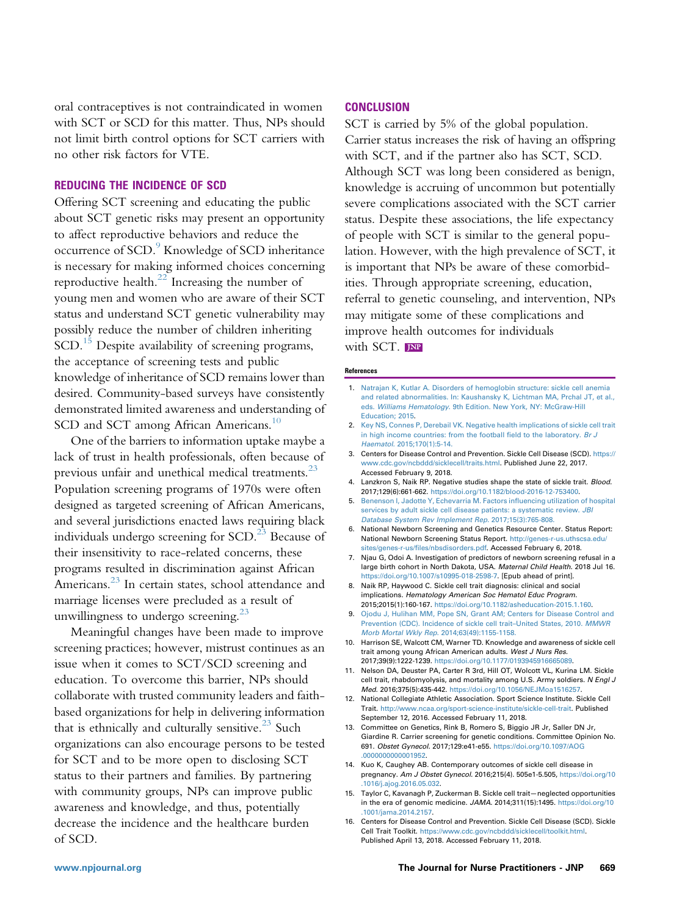<span id="page-6-0"></span>oral contraceptives is not contraindicated in women with SCT or SCD for this matter. Thus, NPs should not limit birth control options for SCT carriers with no other risk factors for VTE.

# REDUCING THE INCIDENCE OF SCD

Offering SCT screening and educating the public about SCT genetic risks may present an opportunity to affect reproductive behaviors and reduce the occurrence of SCD.<sup>9</sup> Knowledge of SCD inheritance is necessary for making informed choices concerning reproductive health. $^{22}$  $^{22}$  $^{22}$  Increasing the number of young men and women who are aware of their SCT status and understand SCT genetic vulnerability may possibly reduce the number of children inheriting  $SCD<sup>15</sup>$  Despite availability of screening programs, the acceptance of screening tests and public knowledge of inheritance of SCD remains lower than desired. Community-based surveys have consistently demonstrated limited awareness and understanding of SCD and SCT among African Americans.<sup>10</sup>

One of the barriers to information uptake maybe a lack of trust in health professionals, often because of previous unfair and unethical medical treatments.<sup>23</sup> Population screening programs of 1970s were often designed as targeted screening of African Americans, and several jurisdictions enacted laws requiring black individuals undergo screening for  $SCD<sup>23</sup>$  Because of their insensitivity to race-related concerns, these programs resulted in discrimination against African Americans.<sup>[23](#page-7-0)</sup> In certain states, school attendance and marriage licenses were precluded as a result of unwillingness to undergo screening. $^{23}$ 

Meaningful changes have been made to improve screening practices; however, mistrust continues as an issue when it comes to SCT/SCD screening and education. To overcome this barrier, NPs should collaborate with trusted community leaders and faithbased organizations for help in delivering information that is ethnically and culturally sensitive. $23$  Such organizations can also encourage persons to be tested for SCT and to be more open to disclosing SCT status to their partners and families. By partnering with community groups, NPs can improve public awareness and knowledge, and thus, potentially decrease the incidence and the healthcare burden of SCD.

#### **CONCLUSION**

SCT is carried by 5% of the global population. Carrier status increases the risk of having an offspring with SCT, and if the partner also has SCT, SCD. Although SCT was long been considered as benign, knowledge is accruing of uncommon but potentially severe complications associated with the SCT carrier status. Despite these associations, the life expectancy of people with SCT is similar to the general population. However, with the high prevalence of SCT, it is important that NPs be aware of these comorbidities. Through appropriate screening, education, referral to genetic counseling, and intervention, NPs may mitigate some of these complications and improve health outcomes for individuals with SCT. **JNP** 

#### References

- 1. [Natrajan K, Kutlar A. Disorders of hemoglobin structure: sickle cell anemia](http://refhub.elsevier.com/S1555-4155(18)30574-9/sref1) [and related abnormalities. In: Kaushansky K, Lichtman MA, Prchal JT, et al.,](http://refhub.elsevier.com/S1555-4155(18)30574-9/sref1) eds. Williams Hematology[. 9th Edition. New York, NY: McGraw-Hill](http://refhub.elsevier.com/S1555-4155(18)30574-9/sref1) [Education; 2015.](http://refhub.elsevier.com/S1555-4155(18)30574-9/sref1)
- 2. [Key NS, Connes P, Derebail VK. Negative health implications of sickle cell trait](http://refhub.elsevier.com/S1555-4155(18)30574-9/sref2) [in high income countries: from the football](http://refhub.elsevier.com/S1555-4155(18)30574-9/sref2) field to the laboratory. Br J Haematol. [2015;170\(1\):5-14.](http://refhub.elsevier.com/S1555-4155(18)30574-9/sref2)
- 3. Centers for Disease Control and Prevention. Sickle Cell Disease (SCD). [https://](https://www.cdc.gov/ncbddd/sicklecell/traits.html) [www.cdc.gov/ncbddd/sicklecell/traits.html](https://www.cdc.gov/ncbddd/sicklecell/traits.html). Published June 22, 2017. Accessed February 9, 2018.
- 4. Lanzkron S, Naik RP. Negative studies shape the state of sickle trait. Blood. 2017;129(6):661-662. [https://doi.org/10.1182/blood-2016-12-753400.](https://doi.org/10.1182/blood-2016-12-753400)
- 5. [Benenson I, Jadotte Y, Echevarria M. Factors in](http://refhub.elsevier.com/S1555-4155(18)30574-9/sref5)fluencing utilization of hospital [services by adult sickle cell disease patients: a systematic review.](http://refhub.elsevier.com/S1555-4155(18)30574-9/sref5) JBI [Database System Rev Implement Rep.](http://refhub.elsevier.com/S1555-4155(18)30574-9/sref5) 2017;15(3):765-808.
- 6. National Newborn Screening and Genetics Resource Center. Status Report: National Newborn Screening Status Report. [http://genes-r-us.uthscsa.edu/](http://genes-r-us.uthscsa.edu/sites/genes-r-us/files/nbsdisorders.pdf) sites/genes-r-us/fi[les/nbsdisorders.pdf](http://genes-r-us.uthscsa.edu/sites/genes-r-us/files/nbsdisorders.pdf). Accessed February 6, 2018.
- 7. Njau G, Odoi A. Investigation of predictors of newborn screening refusal in a large birth cohort in North Dakota, USA. Maternal Child Health. 2018 Jul 16. <https://doi.org/10.1007/s10995-018-2598-7>. [Epub ahead of print].
- 8. Naik RP, Haywood C. Sickle cell trait diagnosis: clinical and social implications. Hematology American Soc Hematol Educ Program. 2015;2015(1):160-167. [https://doi.org/10.1182/asheducation-2015.1.160.](https://doi.org/10.1182/asheducation-2015.1.160)
- 9. [Ojodu J, Hulihan MM, Pope SN, Grant AM; Centers for Disease Control and](http://refhub.elsevier.com/S1555-4155(18)30574-9/sref9) [Prevention \(CDC\). Incidence of sickle cell trait](http://refhub.elsevier.com/S1555-4155(18)30574-9/sref9)–United States, 2010. MMWR [Morb Mortal Wkly Rep.](http://refhub.elsevier.com/S1555-4155(18)30574-9/sref9) 2014;63(49):1155-1158.
- 10. Harrison SE, Walcott CM, Warner TD. Knowledge and awareness of sickle cell trait among young African American adults. West J Nurs Res. 2017;39(9):1222-1239. <https://doi.org/10.1177/0193945916665089>.
- 11. Nelson DA, Deuster PA, Carter R 3rd, Hill OT, Wolcott VL, Kurina LM. Sickle cell trait, rhabdomyolysis, and mortality among U.S. Army soldiers. N Engl J Med. 2016;375(5):435-442. [https://doi.org/10.1056/NEJMoa1516257.](https://doi.org/10.1056/NEJMoa1516257)
- 12. National Collegiate Athletic Association. Sport Science Institute. Sickle Cell Trait. [http://www.ncaa.org/sport-science-institute/sickle-cell-trait.](http://www.ncaa.org/sport-science-institute/sickle-cell-trait) Published September 12, 2016. Accessed February 11, 2018.
- 13. Committee on Genetics, Rink B, Romero S, Biggio JR Jr, Saller DN Jr, Giardine R. Carrier screening for genetic conditions. Committee Opinion No. 691. Obstet Gynecol. 2017;129:e41-e55. [https://doi.org/10.1097/AOG](https://doi.org/10.1097/AOG.0000000000001952) [.0000000000001952.](https://doi.org/10.1097/AOG.0000000000001952)
- 14. Kuo K, Caughey AB. Contemporary outcomes of sickle cell disease in pregnancy. Am J Obstet Gynecol. 2016;215(4). 505e1-5.505, [https://doi.org/10](https://doi.org/10.1016/j.ajog.2016.05.032) [.1016/j.ajog.2016.05.032](https://doi.org/10.1016/j.ajog.2016.05.032).
- 15. Taylor C, Kavanagh P, Zuckerman B. Sickle cell trait—neglected opportunities in the era of genomic medicine. JAMA. 2014;311(15):1495. [https://doi.org/10](https://doi.org/10.1001/jama.2014.2157) [.1001/jama.2014.2157.](https://doi.org/10.1001/jama.2014.2157)
- 16. Centers for Disease Control and Prevention. Sickle Cell Disease (SCD). Sickle Cell Trait Toolkit. <https://www.cdc.gov/ncbddd/sicklecell/toolkit.html>. Published April 13, 2018. Accessed February 11, 2018.